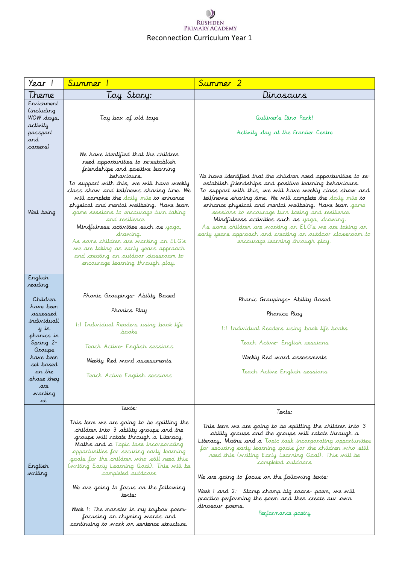## $\cup$ RUSHDEN<br>PRIMARY ACADEMY Reconnection Curriculum Year 1

|                                                                                        | Summer                                                                                                                                                                                                                                                                                                                                                                                                                                                                                                                                                                                         | Summer 2                                                                                                                                                                                                                                                                                                                                                                                                                                                                                                                                                                      |
|----------------------------------------------------------------------------------------|------------------------------------------------------------------------------------------------------------------------------------------------------------------------------------------------------------------------------------------------------------------------------------------------------------------------------------------------------------------------------------------------------------------------------------------------------------------------------------------------------------------------------------------------------------------------------------------------|-------------------------------------------------------------------------------------------------------------------------------------------------------------------------------------------------------------------------------------------------------------------------------------------------------------------------------------------------------------------------------------------------------------------------------------------------------------------------------------------------------------------------------------------------------------------------------|
| Theme                                                                                  | Toy Story:                                                                                                                                                                                                                                                                                                                                                                                                                                                                                                                                                                                     | Dinosaurs                                                                                                                                                                                                                                                                                                                                                                                                                                                                                                                                                                     |
| Ervichment<br><i>including</i><br>WOW days,<br>activity<br>passport<br>and<br>careers) | Toy box of old toys                                                                                                                                                                                                                                                                                                                                                                                                                                                                                                                                                                            | Gulliver's Dino Park!<br>Activity day at the Frontier Centre                                                                                                                                                                                                                                                                                                                                                                                                                                                                                                                  |
| Well being                                                                             | We have identified that the children<br>need opportunities to re-establish<br>friendships and positive learning<br>behaviours.<br>To support with this, we will have weekly<br>class show and tell/news sharing time. We<br>will complete the daily mile to enhance<br>physical and mental wellbeing. Have team<br>game sessions to encourage turn taking<br>and resilience.<br>Mindfulness activities such as yoga,<br>drawing.<br>As some children are working on ELG's<br>we are taking an early years approach<br>and creating an outdoor classroom to<br>encourage learning through play. | We have identified that the children need opportunities to re-<br>establish friendships and positive learning behaviours.<br>To support with this, we will have weekly class show and<br>tell/news sharing time. We will complete the daily mile to<br>erhance physical and mental wellbeing. Have team game<br>sessions to encourage turn taking and resilience.<br>Mindfulness activities such as yaga, drawing.<br>As some children are working on ELG's we are taking an<br>early years approach and creating an outdoor classroom to<br>encourage learning through play. |
| English<br>reading<br>Children<br>have been<br>assessed                                | Phonic Groupings- Ability Based<br>Phonics Play                                                                                                                                                                                                                                                                                                                                                                                                                                                                                                                                                | Phonic Groupings- Ability Based<br>Phonics Play                                                                                                                                                                                                                                                                                                                                                                                                                                                                                                                               |
| individuall<br>y in<br>phonics in                                                      | 1:1 Individual Readers using book life<br>pooks                                                                                                                                                                                                                                                                                                                                                                                                                                                                                                                                                | 1:1 Individual Readers using book life books                                                                                                                                                                                                                                                                                                                                                                                                                                                                                                                                  |
| Spring 2-<br>Groups                                                                    | Teach Active- English sessions                                                                                                                                                                                                                                                                                                                                                                                                                                                                                                                                                                 | Teach Active- English sessions                                                                                                                                                                                                                                                                                                                                                                                                                                                                                                                                                |
| have beer<br>set based                                                                 | Weekly Red word assessments                                                                                                                                                                                                                                                                                                                                                                                                                                                                                                                                                                    | Weekly Red word assessments                                                                                                                                                                                                                                                                                                                                                                                                                                                                                                                                                   |
| or the<br>phase they<br>are                                                            | Teach Active English sessions                                                                                                                                                                                                                                                                                                                                                                                                                                                                                                                                                                  | Teach Active English sessions                                                                                                                                                                                                                                                                                                                                                                                                                                                                                                                                                 |
| working<br>at.                                                                         |                                                                                                                                                                                                                                                                                                                                                                                                                                                                                                                                                                                                |                                                                                                                                                                                                                                                                                                                                                                                                                                                                                                                                                                               |
|                                                                                        | Texts:                                                                                                                                                                                                                                                                                                                                                                                                                                                                                                                                                                                         | Texts:                                                                                                                                                                                                                                                                                                                                                                                                                                                                                                                                                                        |
| English<br>writing                                                                     | This term we are going to be splitting the<br>children into 3 ability groups and the<br>groups will rotate through a Literacy,<br>Maths and a Topic task incorporating<br>opportunities for securing early learning<br>goals for the children who still need this<br>(writing Early Learning Goal). This will be<br>completed outdoors                                                                                                                                                                                                                                                         | This term we are going to be splitting the children into 3<br>ability groups and the groups will rotate through a<br>Literacy, Maths and a Topic task incorporating opportunities<br>for securing early learning goals for the children who still<br>need this (writing Early Learning Goal). This will be<br>completed outdoors<br>We are going to focus on the following texts:                                                                                                                                                                                             |
|                                                                                        | We are going to focus on the following<br>texts:<br>Week 1: The monster in my toybox poem-<br>focusing on rhyming words and<br>continuing to work on sentence structure.                                                                                                                                                                                                                                                                                                                                                                                                                       | Week I and 2: Stomp chomp big roars- poem, we will<br>practice performing the poem and then create our own<br>dinosaur poems.<br>Performance poetry                                                                                                                                                                                                                                                                                                                                                                                                                           |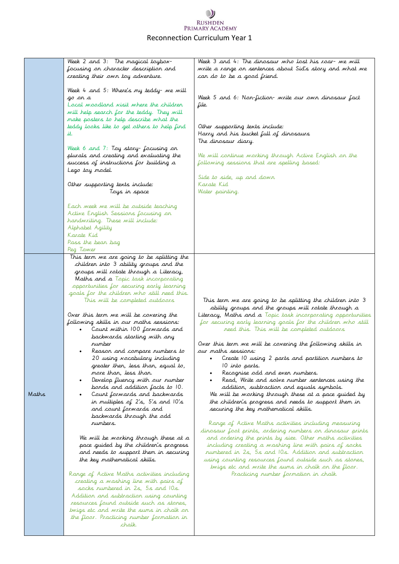## $\bullet$ RUSHDEN<br>PRIMARY ACADEMY Reconnection Curriculum Year 1

|       | Week 2 and 3: The magical toybox-<br>focusing on character description and<br>creating their own toy adventure.                                                                                                                                                                                                                                                                                                                                                                                                                                                                                                                                                                                                                                                                                                                                                                                                                                                                                                                                                                                                                                                                                                                                                                                                   | Week 3 and 4: The dinosaur who lost his roar- we will<br>write a range on sentences about Sid's story and what we<br>can do to be a good friend.                                                                                                                                                                                                                                                                                                                                                                                                                                                                                                                                                                                                                                                                                                                                                                                                                                                                                                                                                                                                                                                                   |
|-------|-------------------------------------------------------------------------------------------------------------------------------------------------------------------------------------------------------------------------------------------------------------------------------------------------------------------------------------------------------------------------------------------------------------------------------------------------------------------------------------------------------------------------------------------------------------------------------------------------------------------------------------------------------------------------------------------------------------------------------------------------------------------------------------------------------------------------------------------------------------------------------------------------------------------------------------------------------------------------------------------------------------------------------------------------------------------------------------------------------------------------------------------------------------------------------------------------------------------------------------------------------------------------------------------------------------------|--------------------------------------------------------------------------------------------------------------------------------------------------------------------------------------------------------------------------------------------------------------------------------------------------------------------------------------------------------------------------------------------------------------------------------------------------------------------------------------------------------------------------------------------------------------------------------------------------------------------------------------------------------------------------------------------------------------------------------------------------------------------------------------------------------------------------------------------------------------------------------------------------------------------------------------------------------------------------------------------------------------------------------------------------------------------------------------------------------------------------------------------------------------------------------------------------------------------|
|       | Week 4 and 5: Where's my teddy- we will<br>go or a<br>Local woodland visit where the children<br>will help search for the teddy. They will<br>make posters to help describe what the<br>teddy looks like to get others to help find                                                                                                                                                                                                                                                                                                                                                                                                                                                                                                                                                                                                                                                                                                                                                                                                                                                                                                                                                                                                                                                                               | Week 5 and 6: Non-fiction- write our own dinosaur fact<br>file.<br>Other supporting texts include:                                                                                                                                                                                                                                                                                                                                                                                                                                                                                                                                                                                                                                                                                                                                                                                                                                                                                                                                                                                                                                                                                                                 |
|       | it.                                                                                                                                                                                                                                                                                                                                                                                                                                                                                                                                                                                                                                                                                                                                                                                                                                                                                                                                                                                                                                                                                                                                                                                                                                                                                                               | Harry and his bucket full of dinosaurs<br>The dinosaur diary.                                                                                                                                                                                                                                                                                                                                                                                                                                                                                                                                                                                                                                                                                                                                                                                                                                                                                                                                                                                                                                                                                                                                                      |
|       | Week 6 and 7: Toy story- focusing on<br>plurals and creating and evaluating the<br>success of instructions for building a<br>Lego toy model.                                                                                                                                                                                                                                                                                                                                                                                                                                                                                                                                                                                                                                                                                                                                                                                                                                                                                                                                                                                                                                                                                                                                                                      | We will continue working through Active English on the<br>following sessions that are spelling based:                                                                                                                                                                                                                                                                                                                                                                                                                                                                                                                                                                                                                                                                                                                                                                                                                                                                                                                                                                                                                                                                                                              |
|       | Other supporting texts include:<br>Toys in space                                                                                                                                                                                                                                                                                                                                                                                                                                                                                                                                                                                                                                                                                                                                                                                                                                                                                                                                                                                                                                                                                                                                                                                                                                                                  | Side to side, up and down<br>Karate Kid<br>Water painting.                                                                                                                                                                                                                                                                                                                                                                                                                                                                                                                                                                                                                                                                                                                                                                                                                                                                                                                                                                                                                                                                                                                                                         |
|       | Each week we will be outside teaching<br>Active English Sessions focusing on<br>handwriting. These will include:<br>Alphabet Agility<br>Karate Kid<br>Pass the bear bag<br>Peg Tower                                                                                                                                                                                                                                                                                                                                                                                                                                                                                                                                                                                                                                                                                                                                                                                                                                                                                                                                                                                                                                                                                                                              |                                                                                                                                                                                                                                                                                                                                                                                                                                                                                                                                                                                                                                                                                                                                                                                                                                                                                                                                                                                                                                                                                                                                                                                                                    |
| Maths | This term we are going to be splitting the<br>children into 3 ability groups and the<br>groups will rotate through a Literacy,<br>Maths and a Topic task incorporating<br>opportunities for securing early learning<br>goals for the children who still need this.<br>This will be completed outdoors<br>Over this term we will be covering the<br>following skills in our maths sessions:<br>Count within 100 forwards and<br>backwards starting with any<br>rumber<br>Reason and compare numbers to<br>20 using vocabulary including<br>greater then, less than, equal to,<br>more than, less than.<br>Develop fluency with our number<br>$\bullet$<br>bonds and addition facts to 10.<br>Count forwards and backwards<br>in multiples of 2's, 5's and 10's<br>and count forwards and<br>backwards through the odd<br>rumbers.<br>We will be working through these at a<br>pace guided by the children's progress<br>and needs to support them in securing<br>the key mathematical skills.<br>Range of Active Maths activities including<br>creating a washing line with pairs of<br>socks numbered in 2s, 5s and 10s.<br>Addition and subtraction using counting<br>resources found outside such as stones,<br>twigs etc and write the sums in chalk on<br>the floor. Practicing number formation in<br>chalk. | This term we are going to be splitting the children into 3<br>ability groups and the groups will rotate through a<br>Literacy, Maths and a Topic task incorporating opportunities<br>for securing early learning goals for the children who still<br>need this. This will be completed outdoors<br>Over this term we will be covering the following skills in<br>our maths sessions:<br>Create 10 using 2 parts and partition numbers to<br>10 into parts.<br>Recognise odd and even numbers.<br>Read, Write and solve number sentences using the<br>addition, subtraction and equals symbols.<br>We will be working through these at a pace guided by<br>the children's progress and needs to support them in<br>securing the key mathematical skills.<br>Range of Active Maths activities including measuring<br>dinosaur foot prints, ordering numbers on dinosaur prints<br>and ardering the prints by size. Other maths activities<br>including creating a washing line with pairs of socks<br>rumbered in 2s, 5s and 10s. Addition and subtraction<br>using counting resources found outside such as stones,<br>twigs etc and write the sums in chalk on the floor.<br>Practicing number formation in chalk. |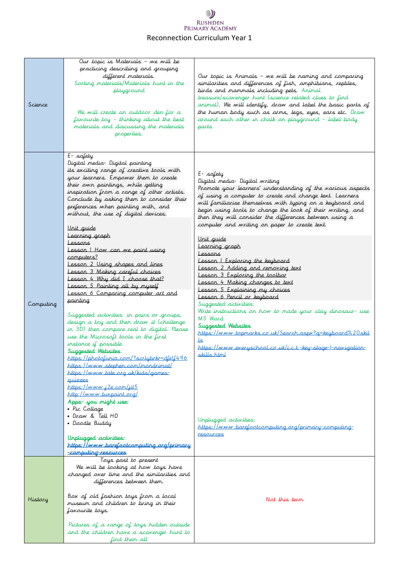## $\cup$ RUSHDEN<br>PRIMARY ACADEMY Reconnection Curriculum Year 1

| Science   | Our topic is Materials - we will be<br>practicing describing and grouping<br>different materials.<br>Sorting materials/Materials hunt in the<br>playground<br>We will create an outdoor den for a<br>favourite toy - thinking about the best<br>materials and discussing the materials<br>properties.                                                                                                                                                                                                                                                                                                                                                                                                                                                                                                                                                                                                                                                                                                                                                                                                                                                                                                                                    | Our topic is Animals - we will be naming and comparing<br>similarities and differences of fish, amphibians, reptiles,<br>birds and mammals including pets. Animal<br>treasure/scavenger hunt (science related clues to find<br>animal). We will identify, draw and label the basic parts of<br>the human body such as arms, legs, eyes, ears etc. Draw<br>around each other in chalk on playground - label body<br>parts                                                                                                                                                                                                                                                                                                                                                                                                                                                                                                                                                                                                                                  |
|-----------|------------------------------------------------------------------------------------------------------------------------------------------------------------------------------------------------------------------------------------------------------------------------------------------------------------------------------------------------------------------------------------------------------------------------------------------------------------------------------------------------------------------------------------------------------------------------------------------------------------------------------------------------------------------------------------------------------------------------------------------------------------------------------------------------------------------------------------------------------------------------------------------------------------------------------------------------------------------------------------------------------------------------------------------------------------------------------------------------------------------------------------------------------------------------------------------------------------------------------------------|-----------------------------------------------------------------------------------------------------------------------------------------------------------------------------------------------------------------------------------------------------------------------------------------------------------------------------------------------------------------------------------------------------------------------------------------------------------------------------------------------------------------------------------------------------------------------------------------------------------------------------------------------------------------------------------------------------------------------------------------------------------------------------------------------------------------------------------------------------------------------------------------------------------------------------------------------------------------------------------------------------------------------------------------------------------|
| Computing | $E-$ safety<br>Digital media- Digital painting<br>its exciting range of creative tools with<br>your learners. Empower them to create<br>their own paintings, while getting<br>inspiration from a range of other artists.<br>Conclude by asking them to consider their<br>preferences when painting with, and<br>without, the use of digital devices.<br><u>Unit guide</u><br>Learning graph<br>Lessons<br>Lesson I How can we paint using<br>computers?<br>Lesson 2 Using shapes and lines<br>Lesson 3 Making careful choices<br>Lesson 4 Why did I choose that?<br>Lesson 5 Painting all by myself<br>Lesson 6 Comparing computer art and<br>painting<br>Suggested activities: in pairs or groups,<br>design a toy and then draw it (challenge<br>in 3D) then compare real to digital. Please<br>use the Microsoft tools in the first<br>instance if possible.<br>Suggested Websites<br>https://photofunia_com/?scrlybrkr=dfelf496<br>https://www.stephen.com/mondrimat/<br>https://www.tate.org.uk/kids/games-<br>quizzes<br>https://www.j2e.com/jit5<br>http://www.tuxpaint.org/<br>Apps- you might use:<br>• Pic Collage<br>• Draw & Tell HD<br>• Doodle Buddy<br>Unplugged activities:<br>https://www.barefootcomputing.org/primary | E-safety<br>Digital media- Digital writing<br>Promote your learners' understanding of the narious aspects<br>of using a computer to create and change text. Learners<br>will familiarise themselves with typing on a keyboard and<br>begin using tools to change the look of their writing, and<br>then they will consider the differences between using a<br>computer and writing on paper to create text.<br><u>Unit guide</u><br>Learning graph<br>Lessons<br>Lesson   Exploring the keyboard<br>Lesson 2 Adding and removing text<br>Lesson 3 Exploring the toolbar<br>Lesson 4 Making changes to text<br>Lesson 5 Explaining my choices<br>Lesson 6 Pencil or keyboard<br>Suggested activities:<br>Write instructions on how to made your clay dinosaur- use<br>MS Ward<br>Suggested Websites<br>https://www.topmarks.co.uk/Search.aspx?q=keyboard%20skil<br>علا<br>https://www.everyschool.co.uk/i.c.t.-key-stage-I-navigation-<br><u>skills.html</u><br>Unplugged activities:<br>https://www.barefootcomputing.org/primary-computing-<br>resources |
| History   | -computing-resources<br>Toys past to present<br>We will be looking at how toys have<br>changed over time and the similarities and<br>differences between them.<br>Box of old fashion toys from a local<br>museum and children to bring in their<br>favourite toys.<br>Pictures of a range of toys hidden outside<br>and the children have a scavenger hunt to<br>find them all                                                                                                                                                                                                                                                                                                                                                                                                                                                                                                                                                                                                                                                                                                                                                                                                                                                           | Not this term                                                                                                                                                                                                                                                                                                                                                                                                                                                                                                                                                                                                                                                                                                                                                                                                                                                                                                                                                                                                                                             |